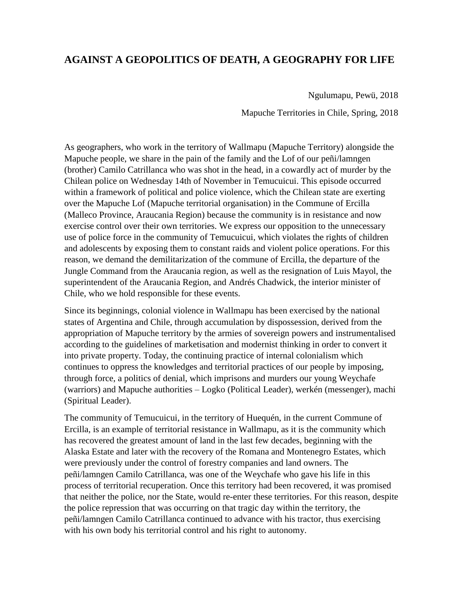## **AGAINST A GEOPOLITICS OF DEATH, A GEOGRAPHY FOR LIFE**

Ngulumapu, Pewü, 2018

Mapuche Territories in Chile, Spring, 2018

As geographers, who work in the territory of Wallmapu (Mapuche Territory) alongside the Mapuche people, we share in the pain of the family and the Lof of our peñi/lamngen (brother) Camilo Catrillanca who was shot in the head, in a cowardly act of murder by the Chilean police on Wednesday 14th of November in Temucuicui. This episode occurred within a framework of political and police violence, which the Chilean state are exerting over the Mapuche Lof (Mapuche territorial organisation) in the Commune of Ercilla (Malleco Province, Araucania Region) because the community is in resistance and now exercise control over their own territories. We express our opposition to the unnecessary use of police force in the community of Temucuicui, which violates the rights of children and adolescents by exposing them to constant raids and violent police operations. For this reason, we demand the demilitarization of the commune of Ercilla, the departure of the Jungle Command from the Araucania region, as well as the resignation of Luis Mayol, the superintendent of the Araucania Region, and Andrés Chadwick, the interior minister of Chile, who we hold responsible for these events.

Since its beginnings, colonial violence in Wallmapu has been exercised by the national states of Argentina and Chile, through accumulation by dispossession, derived from the appropriation of Mapuche territory by the armies of sovereign powers and instrumentalised according to the guidelines of marketisation and modernist thinking in order to convert it into private property. Today, the continuing practice of internal colonialism which continues to oppress the knowledges and territorial practices of our people by imposing, through force, a politics of denial, which imprisons and murders our young Weychafe (warriors) and Mapuche authorities – Logko (Political Leader), werkén (messenger), machi (Spiritual Leader).

The community of Temucuicui, in the territory of Huequén, in the current Commune of Ercilla, is an example of territorial resistance in Wallmapu, as it is the community which has recovered the greatest amount of land in the last few decades, beginning with the Alaska Estate and later with the recovery of the Romana and Montenegro Estates, which were previously under the control of forestry companies and land owners. The peñi/lamngen Camilo Catrillanca, was one of the Weychafe who gave his life in this process of territorial recuperation. Once this territory had been recovered, it was promised that neither the police, nor the State, would re-enter these territories. For this reason, despite the police repression that was occurring on that tragic day within the territory, the peñi/lamngen Camilo Catrillanca continued to advance with his tractor, thus exercising with his own body his territorial control and his right to autonomy.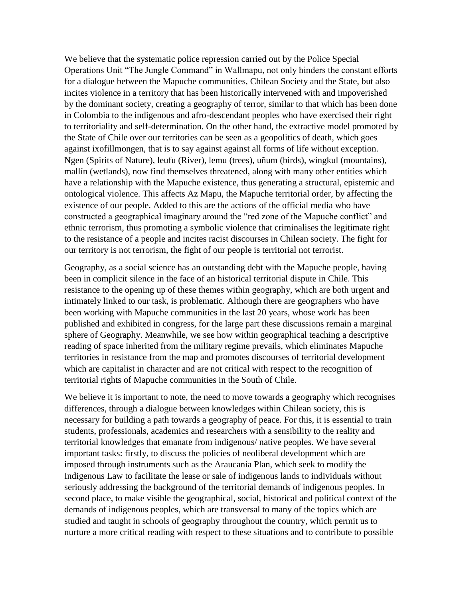We believe that the systematic police repression carried out by the Police Special Operations Unit "The Jungle Command" in Wallmapu, not only hinders the constant efforts for a dialogue between the Mapuche communities, Chilean Society and the State, but also incites violence in a territory that has been historically intervened with and impoverished by the dominant society, creating a geography of terror, similar to that which has been done in Colombia to the indigenous and afro-descendant peoples who have exercised their right to territoriality and self-determination. On the other hand, the extractive model promoted by the State of Chile over our territories can be seen as a geopolitics of death, which goes against ixofillmongen, that is to say against against all forms of life without exception. Ngen (Spirits of Nature), leufu (River), lemu (trees), uñum (birds), wingkul (mountains), mallín (wetlands), now find themselves threatened, along with many other entities which have a relationship with the Mapuche existence, thus generating a structural, epistemic and ontological violence. This affects Az Mapu, the Mapuche territorial order, by affecting the existence of our people. Added to this are the actions of the official media who have constructed a geographical imaginary around the "red zone of the Mapuche conflict" and ethnic terrorism, thus promoting a symbolic violence that criminalises the legitimate right to the resistance of a people and incites racist discourses in Chilean society. The fight for our territory is not terrorism, the fight of our people is territorial not terrorist.

Geography, as a social science has an outstanding debt with the Mapuche people, having been in complicit silence in the face of an historical territorial dispute in Chile. This resistance to the opening up of these themes within geography, which are both urgent and intimately linked to our task, is problematic. Although there are geographers who have been working with Mapuche communities in the last 20 years, whose work has been published and exhibited in congress, for the large part these discussions remain a marginal sphere of Geography. Meanwhile, we see how within geographical teaching a descriptive reading of space inherited from the military regime prevails, which eliminates Mapuche territories in resistance from the map and promotes discourses of territorial development which are capitalist in character and are not critical with respect to the recognition of territorial rights of Mapuche communities in the South of Chile.

We believe it is important to note, the need to move towards a geography which recognises differences, through a dialogue between knowledges within Chilean society, this is necessary for building a path towards a geography of peace. For this, it is essential to train students, professionals, academics and researchers with a sensibility to the reality and territorial knowledges that emanate from indigenous/ native peoples. We have several important tasks: firstly, to discuss the policies of neoliberal development which are imposed through instruments such as the Araucania Plan, which seek to modify the Indigenous Law to facilitate the lease or sale of indigenous lands to individuals without seriously addressing the background of the territorial demands of indigenous peoples. In second place, to make visible the geographical, social, historical and political context of the demands of indigenous peoples, which are transversal to many of the topics which are studied and taught in schools of geography throughout the country, which permit us to nurture a more critical reading with respect to these situations and to contribute to possible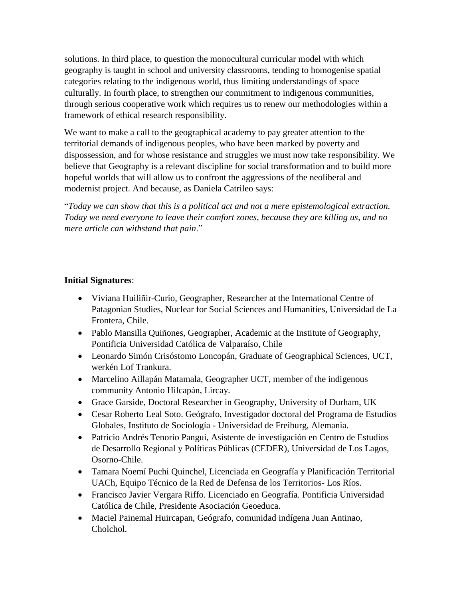solutions. In third place, to question the monocultural curricular model with which geography is taught in school and university classrooms, tending to homogenise spatial categories relating to the indigenous world, thus limiting understandings of space culturally. In fourth place, to strengthen our commitment to indigenous communities, through serious cooperative work which requires us to renew our methodologies within a framework of ethical research responsibility.

We want to make a call to the geographical academy to pay greater attention to the territorial demands of indigenous peoples, who have been marked by poverty and dispossession, and for whose resistance and struggles we must now take responsibility. We believe that Geography is a relevant discipline for social transformation and to build more hopeful worlds that will allow us to confront the aggressions of the neoliberal and modernist project. And because, as Daniela Catrileo says:

"*Today we can show that this is a political act and not a mere epistemological extraction. Today we need everyone to leave their comfort zones, because they are killing us, and no mere article can withstand that pain*."

## **Initial Signatures**:

- Viviana Huiliñir-Curio, Geographer, Researcher at the International Centre of Patagonian Studies, Nuclear for Social Sciences and Humanities, Universidad de La Frontera, Chile.
- Pablo Mansilla Quiñones, Geographer, Academic at the Institute of Geography, Pontificia Universidad Católica de Valparaíso, Chile
- Leonardo Simón Crisóstomo Loncopán, Graduate of Geographical Sciences, UCT, werkén Lof Trankura.
- Marcelino Aillapán Matamala, Geographer UCT, member of the indigenous community Antonio Hilcapán, Lircay.
- Grace Garside, Doctoral Researcher in Geography, University of Durham, UK
- Cesar Roberto Leal Soto. Geógrafo, Investigador doctoral del Programa de Estudios Globales, Instituto de Sociología - Universidad de Freiburg, Alemania.
- Patricio Andrés Tenorio Pangui, Asistente de investigación en Centro de Estudios de Desarrollo Regional y Políticas Públicas (CEDER), Universidad de Los Lagos, Osorno-Chile.
- Tamara Noemí Puchi Quinchel, Licenciada en Geografía y Planificación Territorial UACh, Equipo Técnico de la Red de Defensa de los Territorios- Los Ríos.
- Francisco Javier Vergara Riffo. Licenciado en Geografía. Pontificia Universidad Católica de Chile, Presidente Asociación Geoeduca.
- Maciel Painemal Huircapan, Geógrafo, comunidad indígena Juan Antinao, Cholchol.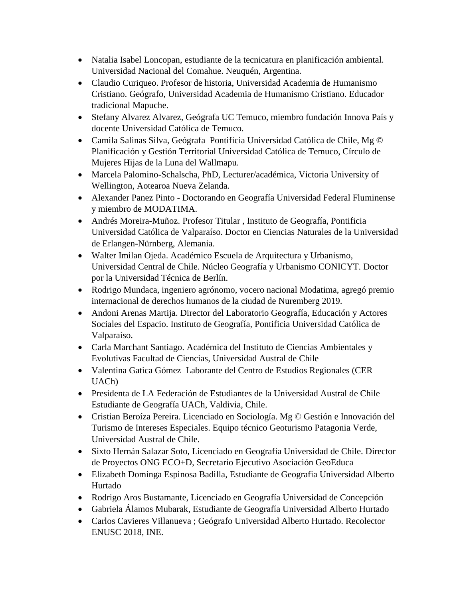- Natalia Isabel Loncopan, estudiante de la tecnicatura en planificación ambiental. Universidad Nacional del Comahue. Neuquén, Argentina.
- Claudio Curiqueo. Profesor de historia, Universidad Academia de Humanismo Cristiano. Geógrafo, Universidad Academia de Humanismo Cristiano. Educador tradicional Mapuche.
- Stefany Alvarez Alvarez, Geógrafa UC Temuco, miembro fundación Innova País y docente Universidad Católica de Temuco.
- Camila Salinas Silva, Geógrafa Pontificia Universidad Católica de Chile, Mg © Planificación y Gestión Territorial Universidad Católica de Temuco, Círculo de Mujeres Hijas de la Luna del Wallmapu.
- Marcela Palomino-Schalscha, PhD, Lecturer/académica, Victoria University of Wellington, Aotearoa Nueva Zelanda.
- Alexander Panez Pinto Doctorando en Geografía Universidad Federal Fluminense y miembro de MODATIMA.
- Andrés Moreira-Muñoz. Profesor Titular , Instituto de Geografía, Pontificia Universidad Católica de Valparaíso. Doctor en Ciencias Naturales de la Universidad de Erlangen-Nürnberg, Alemania.
- Walter Imilan Ojeda. Académico Escuela de Arquitectura y Urbanismo, Universidad Central de Chile. Núcleo Geografía y Urbanismo CONICYT. Doctor por la Universidad Técnica de Berlín.
- Rodrigo Mundaca, ingeniero agrónomo, vocero nacional Modatima, agregó premio internacional de derechos humanos de la ciudad de Nuremberg 2019.
- Andoni Arenas Martija. Director del Laboratorio Geografía, Educación y Actores Sociales del Espacio. Instituto de Geografía, Pontificia Universidad Católica de Valparaíso.
- Carla Marchant Santiago. Académica del Instituto de Ciencias Ambientales y Evolutivas Facultad de Ciencias, Universidad Austral de Chile
- Valentina Gatica Gómez Laborante del Centro de Estudios Regionales (CER UACh)
- Presidenta de LA Federación de Estudiantes de la Universidad Austral de Chile Estudiante de Geografía UACh, Valdivia, Chile.
- Cristian Beroíza Pereira. Licenciado en Sociología. Mg © Gestión e Innovación del Turismo de Intereses Especiales. Equipo técnico Geoturismo Patagonia Verde, Universidad Austral de Chile.
- Sixto Hernán Salazar Soto, Licenciado en Geografía Universidad de Chile. Director de Proyectos ONG ECO+D, Secretario Ejecutivo Asociación GeoEduca
- Elizabeth Dominga Espinosa Badilla, Estudiante de Geografia Universidad Alberto Hurtado
- Rodrigo Aros Bustamante, Licenciado en Geografía Universidad de Concepción
- Gabriela Álamos Mubarak, Estudiante de Geografía Universidad Alberto Hurtado
- Carlos Cavieres Villanueva ; Geógrafo Universidad Alberto Hurtado. Recolector ENUSC 2018, INE.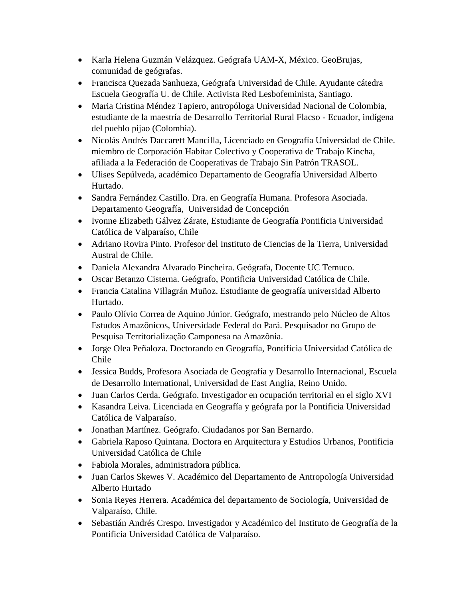- Karla Helena Guzmán Velázquez. Geógrafa UAM-X, México. GeoBrujas, comunidad de geógrafas.
- Francisca Quezada Sanhueza, Geógrafa Universidad de Chile. Ayudante cátedra Escuela Geografía U. de Chile. Activista Red Lesbofeminista, Santiago.
- Maria Cristina Méndez Tapiero, antropóloga Universidad Nacional de Colombia, estudiante de la maestría de Desarrollo Territorial Rural Flacso - Ecuador, indígena del pueblo pijao (Colombia).
- Nicolás Andrés Daccarett Mancilla, Licenciado en Geografía Universidad de Chile. miembro de Corporación Habitar Colectivo y Cooperativa de Trabajo Kincha, afiliada a la Federación de Cooperativas de Trabajo Sin Patrón TRASOL.
- Ulises Sepúlveda, académico Departamento de Geografía Universidad Alberto Hurtado.
- Sandra Fernández Castillo. Dra. en Geografía Humana. Profesora Asociada. Departamento Geografía, Universidad de Concepción
- Ivonne Elizabeth Gálvez Zárate, Estudiante de Geografía Pontificia Universidad Católica de Valparaíso, Chile
- Adriano Rovira Pinto. Profesor del Instituto de Ciencias de la Tierra, Universidad Austral de Chile.
- Daniela Alexandra Alvarado Pincheira. Geógrafa, Docente UC Temuco.
- Oscar Betanzo Cisterna. Geógrafo, Pontificia Universidad Católica de Chile.
- Francia Catalina Villagrán Muñoz. Estudiante de geografía universidad Alberto Hurtado.
- Paulo Olívio Correa de Aquino Júnior. Geógrafo, mestrando pelo Núcleo de Altos Estudos Amazônicos, Universidade Federal do Pará. Pesquisador no Grupo de Pesquisa Territorialização Camponesa na Amazônia.
- Jorge Olea Peñaloza. Doctorando en Geografía, Pontificia Universidad Católica de Chile
- Jessica Budds, Profesora Asociada de Geografía y Desarrollo Internacional, Escuela de Desarrollo International, Universidad de East Anglia, Reino Unido.
- Juan Carlos Cerda. Geógrafo. Investigador en ocupación territorial en el siglo XVI
- Kasandra Leiva. Licenciada en Geografía y geógrafa por la Pontificia Universidad Católica de Valparaíso.
- Jonathan Martínez. Geógrafo. Ciudadanos por San Bernardo.
- Gabriela Raposo Quintana. Doctora en Arquitectura y Estudios Urbanos, Pontificia Universidad Católica de Chile
- Fabiola Morales, administradora pública.
- Juan Carlos Skewes V. Académico del Departamento de Antropología Universidad Alberto Hurtado
- Sonia Reyes Herrera. Académica del departamento de Sociología, Universidad de Valparaíso, Chile.
- Sebastián Andrés Crespo. Investigador y Académico del Instituto de Geografía de la Pontificia Universidad Católica de Valparaíso.